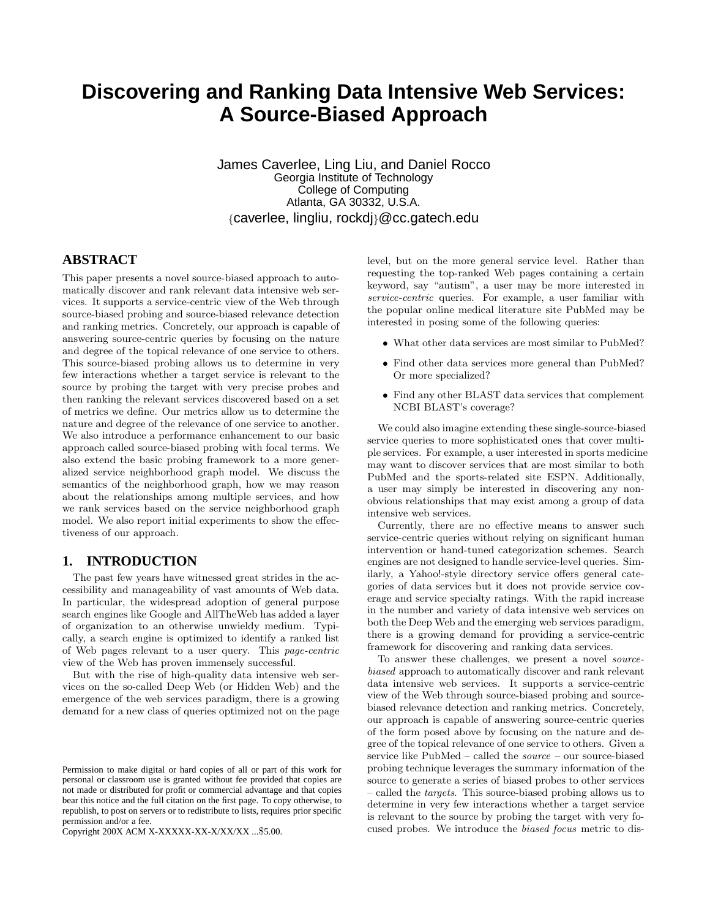# **Discovering and Ranking Data Intensive Web Services: A Source-Biased Approach**

James Caverlee, Ling Liu, and Daniel Rocco Georgia Institute of Technology College of Computing Atlanta, GA 30332, U.S.A. {caverlee, lingliu, rockdj}@cc.gatech.edu

## **ABSTRACT**

This paper presents a novel source-biased approach to automatically discover and rank relevant data intensive web services. It supports a service-centric view of the Web through source-biased probing and source-biased relevance detection and ranking metrics. Concretely, our approach is capable of answering source-centric queries by focusing on the nature and degree of the topical relevance of one service to others. This source-biased probing allows us to determine in very few interactions whether a target service is relevant to the source by probing the target with very precise probes and then ranking the relevant services discovered based on a set of metrics we define. Our metrics allow us to determine the nature and degree of the relevance of one service to another. We also introduce a performance enhancement to our basic approach called source-biased probing with focal terms. We also extend the basic probing framework to a more generalized service neighborhood graph model. We discuss the semantics of the neighborhood graph, how we may reason about the relationships among multiple services, and how we rank services based on the service neighborhood graph model. We also report initial experiments to show the effectiveness of our approach.

# **1. INTRODUCTION**

The past few years have witnessed great strides in the accessibility and manageability of vast amounts of Web data. In particular, the widespread adoption of general purpose search engines like Google and AllTheWeb has added a layer of organization to an otherwise unwieldy medium. Typically, a search engine is optimized to identify a ranked list of Web pages relevant to a user query. This page-centric view of the Web has proven immensely successful.

But with the rise of high-quality data intensive web services on the so-called Deep Web (or Hidden Web) and the emergence of the web services paradigm, there is a growing demand for a new class of queries optimized not on the page

Copyright 200X ACM X-XXXXX-XX-X/XX/XX ...\$5.00.

level, but on the more general service level. Rather than requesting the top-ranked Web pages containing a certain keyword, say "autism", a user may be more interested in service-centric queries. For example, a user familiar with the popular online medical literature site PubMed may be interested in posing some of the following queries:

- What other data services are most similar to PubMed?
- Find other data services more general than PubMed? Or more specialized?
- Find any other BLAST data services that complement NCBI BLAST's coverage?

We could also imagine extending these single-source-biased service queries to more sophisticated ones that cover multiple services. For example, a user interested in sports medicine may want to discover services that are most similar to both PubMed and the sports-related site ESPN. Additionally, a user may simply be interested in discovering any nonobvious relationships that may exist among a group of data intensive web services.

Currently, there are no effective means to answer such service-centric queries without relying on significant human intervention or hand-tuned categorization schemes. Search engines are not designed to handle service-level queries. Similarly, a Yahoo!-style directory service offers general categories of data services but it does not provide service coverage and service specialty ratings. With the rapid increase in the number and variety of data intensive web services on both the Deep Web and the emerging web services paradigm, there is a growing demand for providing a service-centric framework for discovering and ranking data services.

To answer these challenges, we present a novel sourcebiased approach to automatically discover and rank relevant data intensive web services. It supports a service-centric view of the Web through source-biased probing and sourcebiased relevance detection and ranking metrics. Concretely, our approach is capable of answering source-centric queries of the form posed above by focusing on the nature and degree of the topical relevance of one service to others. Given a service like PubMed – called the source – our source-biased probing technique leverages the summary information of the source to generate a series of biased probes to other services – called the targets. This source-biased probing allows us to determine in very few interactions whether a target service is relevant to the source by probing the target with very focused probes. We introduce the biased focus metric to dis-

Permission to make digital or hard copies of all or part of this work for personal or classroom use is granted without fee provided that copies are not made or distributed for profit or commercial advantage and that copies bear this notice and the full citation on the first page. To copy otherwise, to republish, to post on servers or to redistribute to lists, requires prior specific permission and/or a fee.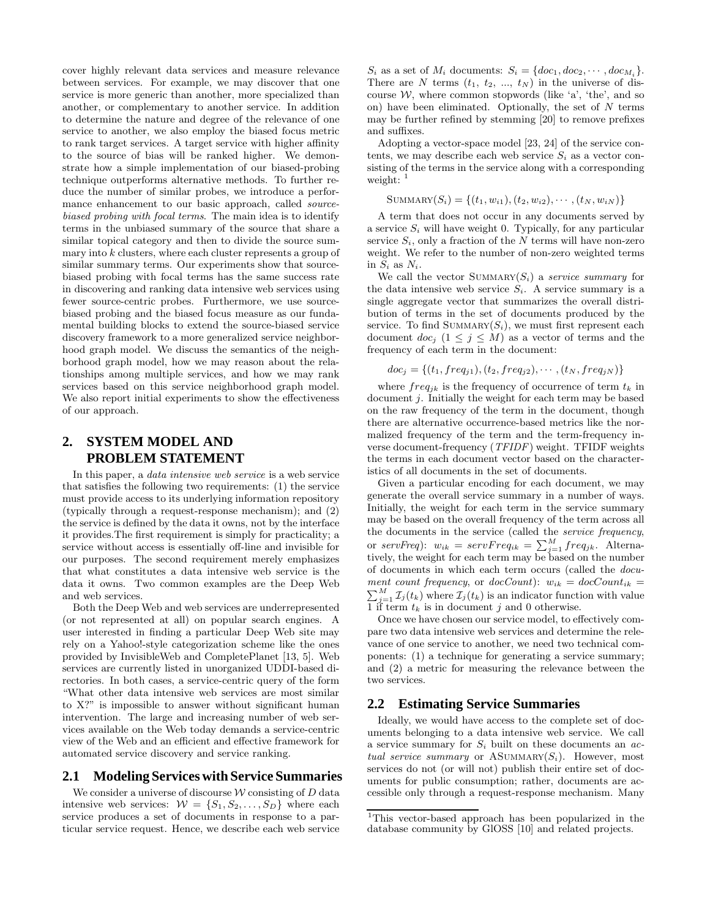cover highly relevant data services and measure relevance between services. For example, we may discover that one service is more generic than another, more specialized than another, or complementary to another service. In addition to determine the nature and degree of the relevance of one service to another, we also employ the biased focus metric to rank target services. A target service with higher affinity to the source of bias will be ranked higher. We demonstrate how a simple implementation of our biased-probing technique outperforms alternative methods. To further reduce the number of similar probes, we introduce a performance enhancement to our basic approach, called *source*biased probing with focal terms. The main idea is to identify terms in the unbiased summary of the source that share a similar topical category and then to divide the source summary into  $k$  clusters, where each cluster represents a group of similar summary terms. Our experiments show that sourcebiased probing with focal terms has the same success rate in discovering and ranking data intensive web services using fewer source-centric probes. Furthermore, we use sourcebiased probing and the biased focus measure as our fundamental building blocks to extend the source-biased service discovery framework to a more generalized service neighborhood graph model. We discuss the semantics of the neighborhood graph model, how we may reason about the relationships among multiple services, and how we may rank services based on this service neighborhood graph model. We also report initial experiments to show the effectiveness of our approach.

# **2. SYSTEM MODEL AND PROBLEM STATEMENT**

In this paper, a data intensive web service is a web service that satisfies the following two requirements: (1) the service must provide access to its underlying information repository (typically through a request-response mechanism); and (2) the service is defined by the data it owns, not by the interface it provides.The first requirement is simply for practicality; a service without access is essentially off-line and invisible for our purposes. The second requirement merely emphasizes that what constitutes a data intensive web service is the data it owns. Two common examples are the Deep Web and web services.

Both the Deep Web and web services are underrepresented (or not represented at all) on popular search engines. A user interested in finding a particular Deep Web site may rely on a Yahoo!-style categorization scheme like the ones provided by InvisibleWeb and CompletePlanet [13, 5]. Web services are currently listed in unorganized UDDI-based directories. In both cases, a service-centric query of the form "What other data intensive web services are most similar to X?" is impossible to answer without significant human intervention. The large and increasing number of web services available on the Web today demands a service-centric view of the Web and an efficient and effective framework for automated service discovery and service ranking.

#### **2.1 Modeling Services with Service Summaries**

We consider a universe of discourse  $W$  consisting of  $D$  data intensive web services:  $W = \{S_1, S_2, \ldots, S_D\}$  where each service produces a set of documents in response to a particular service request. Hence, we describe each web service

 $S_i$  as a set of  $M_i$  documents:  $S_i = \{doc_1, doc_2, \cdots, doc_{M_i}\}.$ There are N terms  $(t_1, t_2, ..., t_N)$  in the universe of discourse  $W$ , where common stopwords (like 'a', 'the', and so on) have been eliminated. Optionally, the set of  $N$  terms may be further refined by stemming [20] to remove prefixes and suffixes.

Adopting a vector-space model [23, 24] of the service contents, we may describe each web service  $S_i$  as a vector consisting of the terms in the service along with a corresponding weight:  $\frac{1}{1}$ 

SUMMARY
$$
(S_i)
$$
 = { $(t_1, w_{i1}), (t_2, w_{i2}), \cdots, (t_N, w_{iN})$ }

A term that does not occur in any documents served by a service  $S_i$  will have weight 0. Typically, for any particular service  $S_i$ , only a fraction of the N terms will have non-zero weight. We refer to the number of non-zero weighted terms in  $S_i$  as  $N_i$ .

We call the vector SUMMARY $(S_i)$  a service summary for the data intensive web service  $S_i$ . A service summary is a single aggregate vector that summarizes the overall distribution of terms in the set of documents produced by the service. To find SUMMARY $(S_i)$ , we must first represent each document  $doc_j$   $(1 \leq j \leq M)$  as a vector of terms and the frequency of each term in the document:

$$
doc_j = \{(t_1, freq_{j1}), (t_2, freq_{j2}), \cdots, (t_N, freq_{jN})\}
$$

where  $freq_{ik}$  is the frequency of occurrence of term  $t_k$  in document j. Initially the weight for each term may be based on the raw frequency of the term in the document, though there are alternative occurrence-based metrics like the normalized frequency of the term and the term-frequency inverse document-frequency (TFIDF) weight. TFIDF weights the terms in each document vector based on the characteristics of all documents in the set of documents.

Given a particular encoding for each document, we may generate the overall service summary in a number of ways. Initially, the weight for each term in the service summary may be based on the overall frequency of the term across all the documents in the service (called the service frequency, or servFreq):  $w_{ik} = serverFreq_{ik} = \sum_{j=1}^{M} freq_{jk}$ . Alternatively, the weight for each term may be based on the number of documents in which each term occurs (called the document count frequency, or  $docCount$ :  $w_{ik} = docCount_{ik}$  $\sum_{j=1}^{M} \mathcal{I}_j(t_k)$  where  $\mathcal{I}_j(t_k)$  is an indicator function with value 1 if term  $t_k$  is in document j and 0 otherwise.

Once we have chosen our service model, to effectively compare two data intensive web services and determine the relevance of one service to another, we need two technical components: (1) a technique for generating a service summary; and (2) a metric for measuring the relevance between the two services.

## **2.2 Estimating Service Summaries**

Ideally, we would have access to the complete set of documents belonging to a data intensive web service. We call a service summary for  $S_i$  built on these documents an actual service summary or ASUMMARY $(S_i)$ . However, most services do not (or will not) publish their entire set of documents for public consumption; rather, documents are accessible only through a request-response mechanism. Many

<sup>1</sup>This vector-based approach has been popularized in the database community by GlOSS [10] and related projects.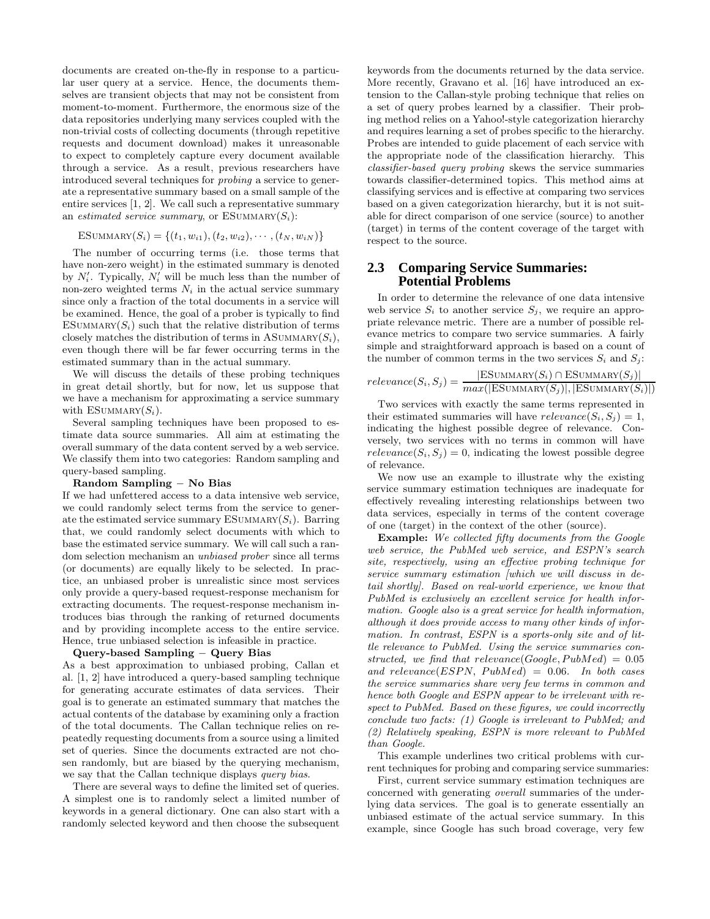documents are created on-the-fly in response to a particular user query at a service. Hence, the documents themselves are transient objects that may not be consistent from moment-to-moment. Furthermore, the enormous size of the data repositories underlying many services coupled with the non-trivial costs of collecting documents (through repetitive requests and document download) makes it unreasonable to expect to completely capture every document available through a service. As a result, previous researchers have introduced several techniques for probing a service to generate a representative summary based on a small sample of the entire services [1, 2]. We call such a representative summary an estimated service summary, or  $ESUMMARY(S_i)$ :

ESUMMARY
$$
(S_i)
$$
 = { $(t_1, w_{i1}), (t_2, w_{i2}), \cdots, (t_N, w_{iN})$ }

The number of occurring terms (i.e. those terms that have non-zero weight) in the estimated summary is denoted by  $N_i'$ . Typically,  $N_i'$  will be much less than the number of non-zero weighted terms  $N_i$  in the actual service summary since only a fraction of the total documents in a service will be examined. Hence, the goal of a prober is typically to find ESUMMARY $(S_i)$  such that the relative distribution of terms closely matches the distribution of terms in  $ASUMMARY(S_i)$ , even though there will be far fewer occurring terms in the estimated summary than in the actual summary.

We will discuss the details of these probing techniques in great detail shortly, but for now, let us suppose that we have a mechanism for approximating a service summary with ESUMMARY $(S_i)$ .

Several sampling techniques have been proposed to estimate data source summaries. All aim at estimating the overall summary of the data content served by a web service. We classify them into two categories: Random sampling and query-based sampling.

#### **Random Sampling** − **No Bias**

If we had unfettered access to a data intensive web service, we could randomly select terms from the service to generate the estimated service summary ESUMMARY $(S_i)$ . Barring that, we could randomly select documents with which to base the estimated service summary. We will call such a random selection mechanism an unbiased prober since all terms (or documents) are equally likely to be selected. In practice, an unbiased prober is unrealistic since most services only provide a query-based request-response mechanism for extracting documents. The request-response mechanism introduces bias through the ranking of returned documents and by providing incomplete access to the entire service. Hence, true unbiased selection is infeasible in practice.

#### **Query-based Sampling** − **Query Bias**

As a best approximation to unbiased probing, Callan et al. [1, 2] have introduced a query-based sampling technique for generating accurate estimates of data services. Their goal is to generate an estimated summary that matches the actual contents of the database by examining only a fraction of the total documents. The Callan technique relies on repeatedly requesting documents from a source using a limited set of queries. Since the documents extracted are not chosen randomly, but are biased by the querying mechanism, we say that the Callan technique displays query bias.

There are several ways to define the limited set of queries. A simplest one is to randomly select a limited number of keywords in a general dictionary. One can also start with a randomly selected keyword and then choose the subsequent keywords from the documents returned by the data service. More recently, Gravano et al. [16] have introduced an extension to the Callan-style probing technique that relies on a set of query probes learned by a classifier. Their probing method relies on a Yahoo!-style categorization hierarchy and requires learning a set of probes specific to the hierarchy. Probes are intended to guide placement of each service with the appropriate node of the classification hierarchy. This classifier-based query probing skews the service summaries towards classifier-determined topics. This method aims at classifying services and is effective at comparing two services based on a given categorization hierarchy, but it is not suitable for direct comparison of one service (source) to another (target) in terms of the content coverage of the target with respect to the source.

## **2.3 Comparing Service Summaries: Potential Problems**

In order to determine the relevance of one data intensive web service  $S_i$  to another service  $S_i$ , we require an appropriate relevance metric. There are a number of possible relevance metrics to compare two service summaries. A fairly simple and straightforward approach is based on a count of the number of common terms in the two services  $S_i$  and  $S_j$ :

 $relevance(S_i, S_j) = \frac{|ESUMARY(S_i) \cap ESUMMARY(S_j)|}{max(|ESUMMARY(S_j)|, |ESUMMARY(S_i)|)}$ 

Two services with exactly the same terms represented in their estimated summaries will have  $relevance(S_i, S_j) = 1$ , indicating the highest possible degree of relevance. Conversely, two services with no terms in common will have  $relevance(S_i, S_j) = 0$ , indicating the lowest possible degree of relevance.

We now use an example to illustrate why the existing service summary estimation techniques are inadequate for effectively revealing interesting relationships between two data services, especially in terms of the content coverage of one (target) in the context of the other (source).

**Example:** We collected fifty documents from the Google web service, the PubMed web service, and ESPN's search site, respectively, using an effective probing technique for service summary estimation [which we will discuss in detail shortly]. Based on real-world experience, we know that PubMed is exclusively an excellent service for health information. Google also is a great service for health information, although it does provide access to many other kinds of information. In contrast, ESPN is a sports-only site and of little relevance to PubMed. Using the service summaries constructed, we find that relevance(Google,  $PubMed$ ) = 0.05 and relevance(ESPN, PubMed) =  $0.06$ . In both cases the service summaries share very few terms in common and hence both Google and ESPN appear to be irrelevant with respect to PubMed. Based on these figures, we could incorrectly conclude two facts: (1) Google is irrelevant to PubMed; and (2) Relatively speaking, ESPN is more relevant to PubMed than Google.

This example underlines two critical problems with current techniques for probing and comparing service summaries:

First, current service summary estimation techniques are concerned with generating overall summaries of the underlying data services. The goal is to generate essentially an unbiased estimate of the actual service summary. In this example, since Google has such broad coverage, very few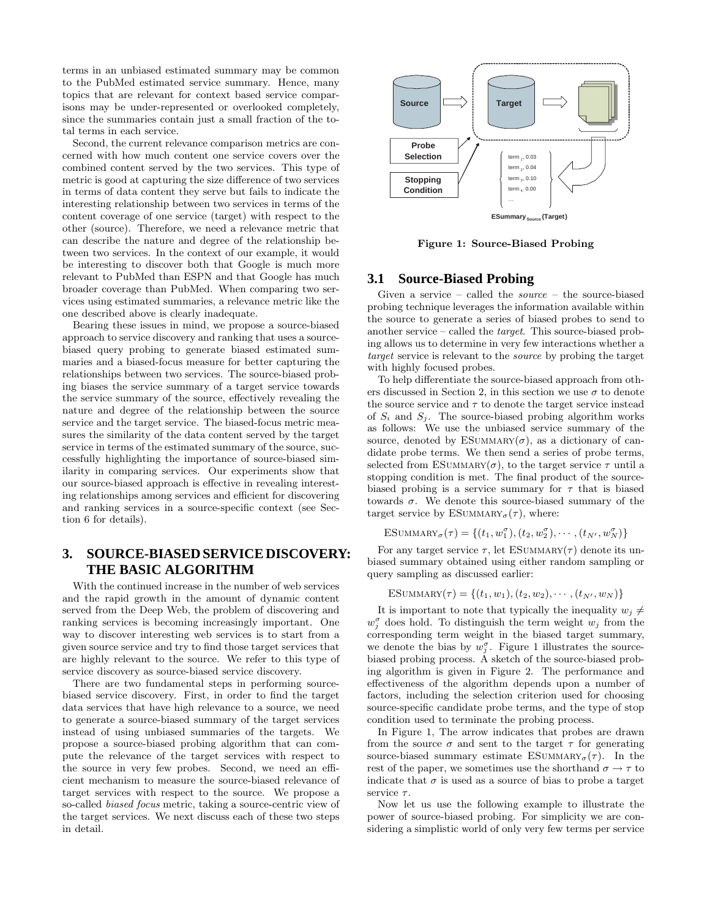terms in an unbiased estimated summary may be common to the PubMed estimated service summary. Hence, many topics that are relevant for context based service comparisons may be under-represented or overlooked completely, since the summaries contain just a small fraction of the total terms in each service.

Second, the current relevance comparison metrics are concerned with how much content one service covers over the combined content served by the two services. This type of metric is good at capturing the size difference of two services in terms of data content they serve but fails to indicate the interesting relationship between two services in terms of the content coverage of one service (target) with respect to the other (source). Therefore, we need a relevance metric that can describe the nature and degree of the relationship between two services. In the context of our example, it would be interesting to discover both that Google is much more relevant to PubMed than ESPN and that Google has much broader coverage than PubMed. When comparing two services using estimated summaries, a relevance metric like the one described above is clearly inadequate.

Bearing these issues in mind, we propose a source-biased approach to service discovery and ranking that uses a sourcebiased query probing to generate biased estimated summaries and a biased-focus measure for better capturing the relationships between two services. The source-biased probing biases the service summary of a target service towards the service summary of the source, effectively revealing the nature and degree of the relationship between the source service and the target service. The biased-focus metric measures the similarity of the data content served by the target service in terms of the estimated summary of the source, successfully highlighting the importance of source-biased similarity in comparing services. Our experiments show that our source-biased approach is effective in revealing interesting relationships among services and efficient for discovering and ranking services in a source-specific context (see Section 6 for details).

# **3. SOURCE-BIASED SERVICE DISCOVERY: THE BASIC ALGORITHM**

With the continued increase in the number of web services and the rapid growth in the amount of dynamic content served from the Deep Web, the problem of discovering and ranking services is becoming increasingly important. One way to discover interesting web services is to start from a given source service and try to find those target services that are highly relevant to the source. We refer to this type of service discovery as source-biased service discovery.

There are two fundamental steps in performing sourcebiased service discovery. First, in order to find the target data services that have high relevance to a source, we need to generate a source-biased summary of the target services instead of using unbiased summaries of the targets. We propose a source-biased probing algorithm that can compute the relevance of the target services with respect to the source in very few probes. Second, we need an efficient mechanism to measure the source-biased relevance of target services with respect to the source. We propose a so-called biased focus metric, taking a source-centric view of the target services. We next discuss each of these two steps in detail.



**Figure 1: Source-Biased Probing**

## **3.1 Source-Biased Probing**

Given a service – called the  $source -$  the source-biased probing technique leverages the information available within the source to generate a series of biased probes to send to another service – called the target. This source-biased probing allows us to determine in very few interactions whether a target service is relevant to the source by probing the target with highly focused probes.

To help differentiate the source-biased approach from others discussed in Section 2, in this section we use  $\sigma$  to denote the source service and  $\tau$  to denote the target service instead of  $S_i$  and  $S_j$ . The source-biased probing algorithm works as follows: We use the unbiased service summary of the source, denoted by ESUMMARY $(\sigma)$ , as a dictionary of candidate probe terms. We then send a series of probe terms, selected from ESUMMARY( $\sigma$ ), to the target service  $\tau$  until a stopping condition is met. The final product of the sourcebiased probing is a service summary for  $\tau$  that is biased towards σ. We denote this source-biased summary of the target service by ESUMMARY<sub> $\sigma(\tau)$ </sub>, where:

ESUMMARY<sub> $\sigma(\tau) = \{(t_1, w_1^{\sigma}), (t_2, w_2^{\sigma}), \cdots, (t_{N'}, w_N^{\sigma})\}$ </sub>

For any target service  $\tau$ , let ESUMMARY( $\tau$ ) denote its unbiased summary obtained using either random sampling or query sampling as discussed earlier:

ESUMMARY( $\tau$ ) = { $(t_1, w_1), (t_2, w_2), \cdots, (t_{N'}, w_N)$ }

It is important to note that typically the inequality  $w_j \neq$  $w_j^{\sigma}$  does hold. To distinguish the term weight  $w_j$  from the corresponding term weight in the biased target summary, we denote the bias by  $w_j^{\sigma}$ . Figure 1 illustrates the sourcebiased probing process. A sketch of the source-biased probing algorithm is given in Figure 2. The performance and effectiveness of the algorithm depends upon a number of factors, including the selection criterion used for choosing source-specific candidate probe terms, and the type of stop condition used to terminate the probing process.

In Figure 1, The arrow indicates that probes are drawn from the source  $\sigma$  and sent to the target  $\tau$  for generating source-biased summary estimate  $ESUMMARY_{\sigma}(\tau)$ . In the rest of the paper, we sometimes use the shorthand  $\sigma \rightarrow \tau$  to indicate that  $\sigma$  is used as a source of bias to probe a target service  $\tau$ .

Now let us use the following example to illustrate the power of source-biased probing. For simplicity we are considering a simplistic world of only very few terms per service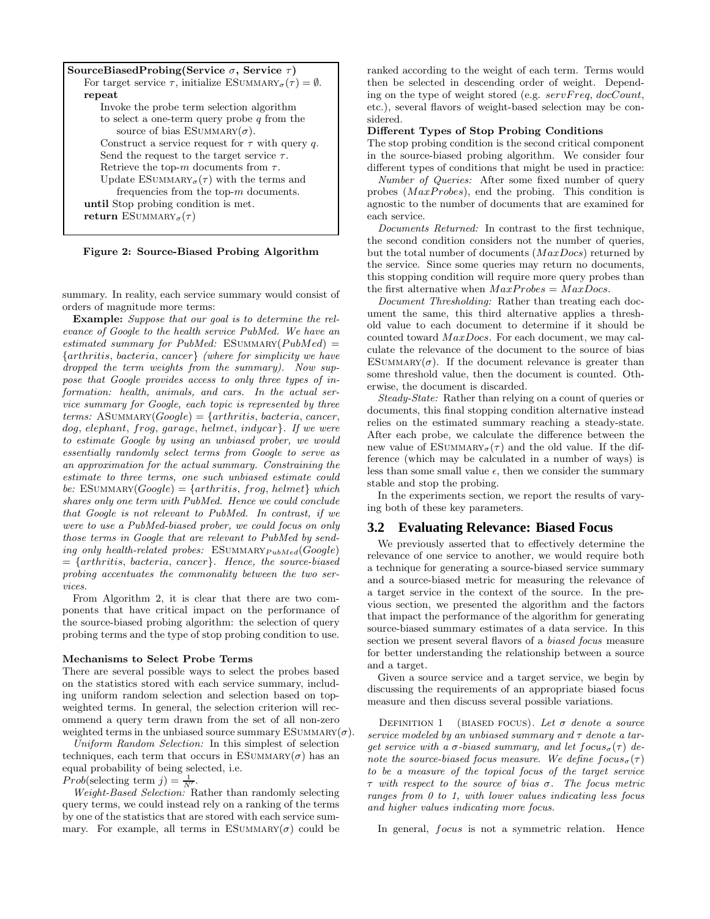| SourceBiasedProbing(Service $\sigma$ , Service $\tau$ )                                           |  |
|---------------------------------------------------------------------------------------------------|--|
| For target service $\tau$ , initialize ESUMMARY <sub><math>\sigma(\tau) = \emptyset</math>.</sub> |  |
| repeat                                                                                            |  |
| Invoke the probe term selection algorithm                                                         |  |
| to select a one-term query probe q from the                                                       |  |
| source of bias ESUMMARY $(\sigma)$ .                                                              |  |
| Construct a service request for $\tau$ with query q.                                              |  |
| Send the request to the target service $\tau$ .                                                   |  |
| Retrieve the top-m documents from $\tau$ .                                                        |  |
| Update ESUMMARY <sub><math>\sigma(\tau)</math></sub> with the terms and                           |  |
| frequencies from the top- $m$ documents.                                                          |  |
| until Stop probing condition is met.                                                              |  |
| return ESUMMARY <sub><math>\sigma</math></sub> $(\tau)$                                           |  |
|                                                                                                   |  |

**Figure 2: Source-Biased Probing Algorithm**

summary. In reality, each service summary would consist of orders of magnitude more terms:

**Example:** Suppose that our goal is to determine the relevance of Google to the health service PubMed. We have an estimated summary for PubMed: ESUMMARY( $PubMed$ ) = {arthritis, bacteria, cancer} (where for simplicity we have dropped the term weights from the summary). Now suppose that Google provides access to only three types of information: health, animals, and cars. In the actual service summary for Google, each topic is represented by three terms: ASUMMARY( $Google$ ) = {arthritis, bacteria, cancer, dog, elephant, frog, garage, helmet, indycar}. If we were to estimate Google by using an unbiased prober, we would essentially randomly select terms from Google to serve as an approximation for the actual summary. Constraining the estimate to three terms, one such unbiased estimate could be: ESUMMARY( $Google$ ) = {arthritis, frog, helmet} which shares only one term with PubMed. Hence we could conclude that Google is not relevant to PubMed. In contrast, if we were to use a PubMed-biased prober, we could focus on only those terms in Google that are relevant to PubMed by sending only health-related probes:  $ESUMMARY *PubMed*(Google)$  $= \{arthritis, bacteria, cancer\}.$  Hence, the source-biased probing accentuates the commonality between the two services.

From Algorithm 2, it is clear that there are two components that have critical impact on the performance of the source-biased probing algorithm: the selection of query probing terms and the type of stop probing condition to use.

#### **Mechanisms to Select Probe Terms**

There are several possible ways to select the probes based on the statistics stored with each service summary, including uniform random selection and selection based on topweighted terms. In general, the selection criterion will recommend a query term drawn from the set of all non-zero weighted terms in the unbiased source summary  $ESUMMARY(\sigma)$ .

Uniform Random Selection: In this simplest of selection techniques, each term that occurs in ESUMMARY( $\sigma$ ) has an equal probability of being selected, i.e.

Prob(selecting term  $j$ ) =  $\frac{1}{N'}$ .

Weight-Based Selection: Rather than randomly selecting query terms, we could instead rely on a ranking of the terms by one of the statistics that are stored with each service summary. For example, all terms in ESUMMARY( $\sigma$ ) could be

ranked according to the weight of each term. Terms would then be selected in descending order of weight. Depending on the type of weight stored (e.g.  $servFreq, docCount,$ etc.), several flavors of weight-based selection may be considered.

#### **Different Types of Stop Probing Conditions**

The stop probing condition is the second critical component in the source-biased probing algorithm. We consider four different types of conditions that might be used in practice:

Number of Queries: After some fixed number of query probes ( $MaxProbes$ ), end the probing. This condition is agnostic to the number of documents that are examined for each service.

Documents Returned: In contrast to the first technique, the second condition considers not the number of queries, but the total number of documents  $(MaxDocs)$  returned by the service. Since some queries may return no documents, this stopping condition will require more query probes than the first alternative when  $MaxProbes = MaxDocs$ .

Document Thresholding: Rather than treating each document the same, this third alternative applies a threshold value to each document to determine if it should be counted toward MaxDocs. For each document, we may calculate the relevance of the document to the source of bias ESUMMARY( $\sigma$ ). If the document relevance is greater than some threshold value, then the document is counted. Otherwise, the document is discarded.

Steady-State: Rather than relying on a count of queries or documents, this final stopping condition alternative instead relies on the estimated summary reaching a steady-state. After each probe, we calculate the difference between the new value of  $ESUMMARY_{\sigma}(\tau)$  and the old value. If the difference (which may be calculated in a number of ways) is less than some small value  $\epsilon$ , then we consider the summary stable and stop the probing.

In the experiments section, we report the results of varying both of these key parameters.

#### **3.2 Evaluating Relevance: Biased Focus**

We previously asserted that to effectively determine the relevance of one service to another, we would require both a technique for generating a source-biased service summary and a source-biased metric for measuring the relevance of a target service in the context of the source. In the previous section, we presented the algorithm and the factors that impact the performance of the algorithm for generating source-biased summary estimates of a data service. In this section we present several flavors of a biased focus measure for better understanding the relationship between a source and a target.

Given a source service and a target service, we begin by discussing the requirements of an appropriate biased focus measure and then discuss several possible variations.

DEFINITION 1 (BIASED FOCUS). Let  $\sigma$  denote a source service modeled by an unbiased summary and  $\tau$  denote a target service with a  $\sigma$ -biased summary, and let  $f_{\alpha}(x)$  denote the source-biased focus measure. We define  $f \circ \cos(\tau)$ to be a measure of the topical focus of the target service τ with respect to the source of bias σ. The focus metric ranges from 0 to 1, with lower values indicating less focus and higher values indicating more focus.

In general, focus is not a symmetric relation. Hence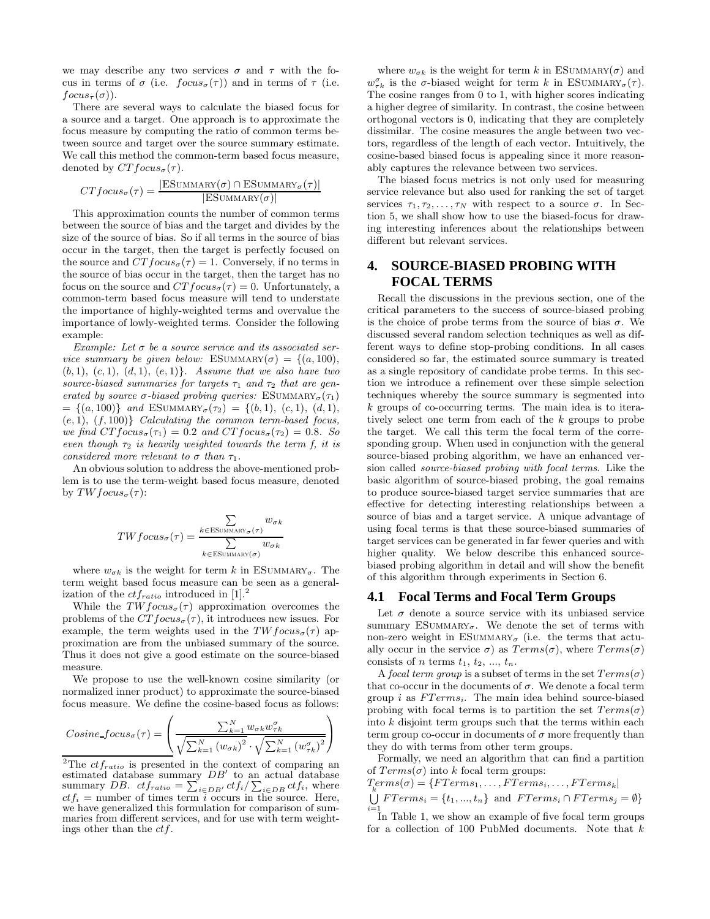we may describe any two services  $\sigma$  and  $\tau$  with the focus in terms of  $\sigma$  (i.e.  $focus_{\sigma}(\tau))$  and in terms of  $\tau$  (i.e.  $focus_\tau(\sigma)$ ).

There are several ways to calculate the biased focus for a source and a target. One approach is to approximate the focus measure by computing the ratio of common terms between source and target over the source summary estimate. We call this method the common-term based focus measure, denoted by  $CTfocus_{\sigma}(\tau)$ .

$$
CTfocus_{\sigma}(\tau) = \frac{|ESUMMARY(\sigma) \cap ESUMMARY_{\sigma}(\tau)|}{|ESUMMARY(\sigma)|}
$$

This approximation counts the number of common terms between the source of bias and the target and divides by the size of the source of bias. So if all terms in the source of bias occur in the target, then the target is perfectly focused on the source and  $CTfocus_{\sigma}(\tau) = 1$ . Conversely, if no terms in the source of bias occur in the target, then the target has no focus on the source and  $CTfocus_{\sigma}(\tau) = 0$ . Unfortunately, a common-term based focus measure will tend to understate the importance of highly-weighted terms and overvalue the importance of lowly-weighted terms. Consider the following example:

Example: Let  $\sigma$  be a source service and its associated service summary be given below: ESUMMARY( $\sigma$ ) = {(a, 100),  $(b, 1), (c, 1), (d, 1), (e, 1)$ . Assume that we also have two source-biased summaries for targets  $\tau_1$  and  $\tau_2$  that are generated by source  $\sigma$ -biased probing queries: ESUMMARY<sub> $\sigma$ </sub> $(\tau_1)$  $= \{(a, 100)\}$  and ESUMMARY<sub> $\sigma(\tau_2) = \{(b, 1), (c, 1), (d, 1),\}$ </sub>  $(e, 1), (f, 100)$  *Calculating the common term-based focus,* we find  $CTfocus_{\sigma}(\tau_1)=0.2$  and  $CTfocus_{\sigma}(\tau_2)=0.8$ . So even though  $\tau_2$  is heavily weighted towards the term f, it is considered more relevant to  $\sigma$  than  $\tau_1$ .

An obvious solution to address the above-mentioned problem is to use the term-weight based focus measure, denoted by  $TWfocus_{\sigma}(\tau)$ :

$$
TWfocus_{\sigma}(\tau) = \frac{\sum_{k \in \text{ESUMMARY}_{\sigma}(\tau)} w_{\sigma k}}{\sum_{k \in \text{ESUMMARY}(\sigma)} w_{\sigma k}}
$$

where  $w_{\sigma k}$  is the weight for term k in ESUMMARY<sub> $\sigma$ </sub>. The term weight based focus measure can be seen as a generalization of the  $cf_{ratio}$  introduced in [1].<sup>2</sup>

While the  $TWfocus_{\sigma}(\tau)$  approximation overcomes the problems of the  $CTfocus_{\sigma}(\tau)$ , it introduces new issues. For example, the term weights used in the  $TWfocus_{\sigma}(\tau)$  approximation are from the unbiased summary of the source. Thus it does not give a good estimate on the source-biased measure.

We propose to use the well-known cosine similarity (or normalized inner product) to approximate the source-biased focus measure. We define the cosine-based focus as follows:

$$
Cosine\text{-}focus_{\sigma}(\tau) = \left(\frac{\sum_{k=1}^{N} w_{\sigma k}w_{\tau k}^{\sigma}}{\sqrt{\sum_{k=1}^{N} (w_{\sigma k})^2} \cdot \sqrt{\sum_{k=1}^{N} (w_{\tau k}^{\sigma})^2}}\right)
$$

<sup>2</sup>The  $cf_{ratio}$  is presented in the context of comparing an estimated database summary  $DB'$  to an actual database summary *DB.*  $ctf_{ratio} = \sum_{i \in DB'} ctf_i / \sum_{i \in DB} ctf_i$ , where  $ctf_i$  = number of times term i occurs in the source. Here, we have generalized this formulation for comparison of summaries from different services, and for use with term weightings other than the  $ctf$ .

where  $w_{\sigma k}$  is the weight for term k in ESUMMARY( $\sigma$ ) and  $w_{\tau k}^{\sigma}$  is the  $\sigma$ -biased weight for term k in ESUMMARY<sub> $\sigma$ </sub> $(\tau)$ . The cosine ranges from 0 to 1, with higher scores indicating a higher degree of similarity. In contrast, the cosine between orthogonal vectors is 0, indicating that they are completely dissimilar. The cosine measures the angle between two vectors, regardless of the length of each vector. Intuitively, the cosine-based biased focus is appealing since it more reasonably captures the relevance between two services.

The biased focus metrics is not only used for measuring service relevance but also used for ranking the set of target services  $\tau_1, \tau_2, \ldots, \tau_N$  with respect to a source  $\sigma$ . In Section 5, we shall show how to use the biased-focus for drawing interesting inferences about the relationships between different but relevant services.

# **4. SOURCE-BIASED PROBING WITH FOCAL TERMS**

Recall the discussions in the previous section, one of the critical parameters to the success of source-biased probing is the choice of probe terms from the source of bias  $\sigma$ . We discussed several random selection techniques as well as different ways to define stop-probing conditions. In all cases considered so far, the estimated source summary is treated as a single repository of candidate probe terms. In this section we introduce a refinement over these simple selection techniques whereby the source summary is segmented into k groups of co-occurring terms. The main idea is to iteratively select one term from each of the k groups to probe the target. We call this term the focal term of the corresponding group. When used in conjunction with the general source-biased probing algorithm, we have an enhanced version called source-biased probing with focal terms. Like the basic algorithm of source-biased probing, the goal remains to produce source-biased target service summaries that are effective for detecting interesting relationships between a source of bias and a target service. A unique advantage of using focal terms is that these source-biased summaries of target services can be generated in far fewer queries and with higher quality. We below describe this enhanced sourcebiased probing algorithm in detail and will show the benefit of this algorithm through experiments in Section 6.

#### **4.1 Focal Terms and Focal Term Groups**

Let  $\sigma$  denote a source service with its unbiased service summary  $ESUMMARY_{\sigma}$ . We denote the set of terms with non-zero weight in ESUMMARY<sub> $\sigma$ </sub> (i.e. the terms that actually occur in the service  $\sigma$ ) as  $Terms(\sigma)$ , where  $Terms(\sigma)$ consists of *n* terms  $t_1, t_2, ..., t_n$ .

A focal term group is a subset of terms in the set  $Terms(\sigma)$ that co-occur in the documents of  $\sigma$ . We denote a focal term group i as  $FTerms<sub>i</sub>$ . The main idea behind source-biased probing with focal terms is to partition the set  $Terms(\sigma)$ into  $k$  disjoint term groups such that the terms within each term group co-occur in documents of  $\sigma$  more frequently than they do with terms from other term groups.

Formally, we need an algorithm that can find a partition of  $Terms(\sigma)$  into k focal term groups:

$$
T_{k}erms(\sigma) = \{FTerms_1, \dots, FTerms_i, \dots, FTerms_k |
$$
  
\n
$$
\bigcup_{i=1}^{k} Terms_i = \{t_1, \dots, t_n\} \text{ and } FTerms_i \cap FTerms_j = \emptyset\}
$$

 $i=1$ <br>In Table 1, we show an example of five focal term groups for a collection of 100 PubMed documents. Note that  $k$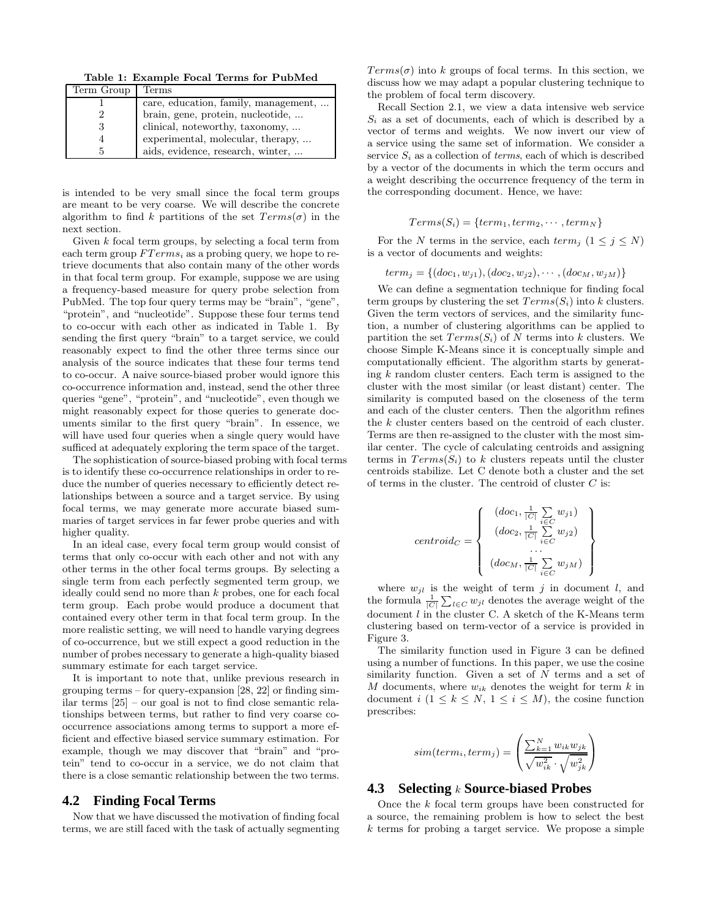**Table 1: Example Focal Terms for PubMed**

| Term Group | Terms                                |
|------------|--------------------------------------|
|            | care, education, family, management, |
|            | brain, gene, protein, nucleotide,    |
| 3          | clinical, noteworthy, taxonomy,      |
| 4          | experimental, molecular, therapy,    |
| 5          | aids, evidence, research, winter,    |

is intended to be very small since the focal term groups are meant to be very coarse. We will describe the concrete algorithm to find k partitions of the set  $Terms(\sigma)$  in the next section.

Given  $k$  focal term groups, by selecting a focal term from each term group  $FTerms<sub>i</sub>$  as a probing query, we hope to retrieve documents that also contain many of the other words in that focal term group. For example, suppose we are using a frequency-based measure for query probe selection from PubMed. The top four query terms may be "brain", "gene", "protein", and "nucleotide". Suppose these four terms tend to co-occur with each other as indicated in Table 1. By sending the first query "brain" to a target service, we could reasonably expect to find the other three terms since our analysis of the source indicates that these four terms tend to co-occur. A naive source-biased prober would ignore this co-occurrence information and, instead, send the other three queries "gene", "protein", and "nucleotide", even though we might reasonably expect for those queries to generate documents similar to the first query "brain". In essence, we will have used four queries when a single query would have sufficed at adequately exploring the term space of the target.

The sophistication of source-biased probing with focal terms is to identify these co-occurrence relationships in order to reduce the number of queries necessary to efficiently detect relationships between a source and a target service. By using focal terms, we may generate more accurate biased summaries of target services in far fewer probe queries and with higher quality.

In an ideal case, every focal term group would consist of terms that only co-occur with each other and not with any other terms in the other focal terms groups. By selecting a single term from each perfectly segmented term group, we ideally could send no more than  $k$  probes, one for each focal term group. Each probe would produce a document that contained every other term in that focal term group. In the more realistic setting, we will need to handle varying degrees of co-occurrence, but we still expect a good reduction in the number of probes necessary to generate a high-quality biased summary estimate for each target service.

It is important to note that, unlike previous research in grouping terms – for query-expansion [28, 22] or finding similar terms [25] – our goal is not to find close semantic relationships between terms, but rather to find very coarse cooccurrence associations among terms to support a more efficient and effective biased service summary estimation. For example, though we may discover that "brain" and "protein" tend to co-occur in a service, we do not claim that there is a close semantic relationship between the two terms.

## **4.2 Finding Focal Terms**

Now that we have discussed the motivation of finding focal terms, we are still faced with the task of actually segmenting  $Terms(σ)$  into k groups of focal terms. In this section, we discuss how we may adapt a popular clustering technique to the problem of focal term discovery.

Recall Section 2.1, we view a data intensive web service  $S_i$  as a set of documents, each of which is described by a vector of terms and weights. We now invert our view of a service using the same set of information. We consider a service  $S_i$  as a collection of *terms*, each of which is described by a vector of the documents in which the term occurs and a weight describing the occurrence frequency of the term in the corresponding document. Hence, we have:

$$
Terms(S_i) = \{term_1, term_2, \cdots, term_N\}
$$

For the N terms in the service, each term<sub>j</sub>  $(1 \le j \le N)$ is a vector of documents and weights:

$$
term_j = \{(doc_1, w_{j1}), (doc_2, w_{j2}), \cdots, (doc_M, w_{jM})\}
$$

We can define a segmentation technique for finding focal term groups by clustering the set  $Terms(S_i)$  into k clusters. Given the term vectors of services, and the similarity function, a number of clustering algorithms can be applied to partition the set  $Terms(S_i)$  of N terms into k clusters. We choose Simple K-Means since it is conceptually simple and computationally efficient. The algorithm starts by generating  $k$  random cluster centers. Each term is assigned to the cluster with the most similar (or least distant) center. The similarity is computed based on the closeness of the term and each of the cluster centers. Then the algorithm refines the k cluster centers based on the centroid of each cluster. Terms are then re-assigned to the cluster with the most similar center. The cycle of calculating centroids and assigning terms in  $Terms(S_i)$  to k clusters repeats until the cluster centroids stabilize. Let C denote both a cluster and the set of terms in the cluster. The centroid of cluster  $C$  is:

$$
centroid_C = \left\{ \begin{array}{c} (doc_1, \frac{1}{|C|} \sum_{i \in C} w_{j1}) \\ (doc_2, \frac{1}{|C|} \sum_{i \in C} w_{j2}) \\ \dots \\ (doc_M, \frac{1}{|C|} \sum_{i \in C} w_{jM}) \end{array} \right\}
$$

where  $w_{jl}$  is the weight of term j in document l, and the formula  $\frac{1}{|C|} \sum_{l \in C} w_{jl}$  denotes the average weight of the document  $l$  in the cluster C. A sketch of the K-Means term clustering based on term-vector of a service is provided in Figure 3.

The similarity function used in Figure 3 can be defined using a number of functions. In this paper, we use the cosine similarity function. Given a set of  $N$  terms and a set of M documents, where  $w_{ik}$  denotes the weight for term k in document  $i$   $(1 \leq k \leq N, 1 \leq i \leq M)$ , the cosine function prescribes:

$$
sim(term_i,term_j) = \left(\frac{\sum_{k=1}^{N} w_{ik}w_{jk}}{\sqrt{w_{ik}^2} \cdot \sqrt{w_{jk}^2}}\right)
$$

## **4.3 Selecting** k **Source-biased Probes**

Once the k focal term groups have been constructed for a source, the remaining problem is how to select the best  $k$  terms for probing a target service. We propose a simple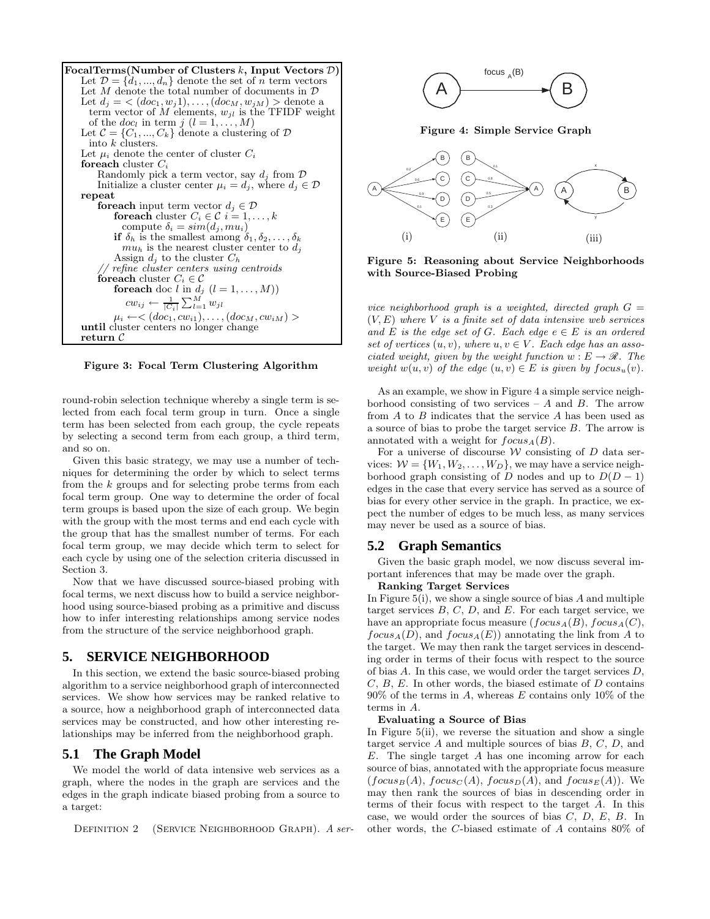**FocalTerms(Number of Clusters** k**, Input Vectors** D**)** Let  $\mathcal{D} = \{d_1, ..., d_n\}$  denote the set of n term vectors Let  $M$  denote the total number of documents in  $D$ Let  $d_j = \langle (doc_1, w_j1), \ldots, (doc_M, w_{jM}) \rangle$  denote a term vector of M elements,  $w_{jl}$  is the TFIDF weight of the  $doc_l$  in term  $j$   $(l = 1, ..., M)$ Let  $C = \{C_1, ..., C_k\}$  denote a clustering of  $D$ into k clusters. Let  $\mu_i$  denote the center of cluster  $C_i$ **foreach** cluster C Randomly pick a term vector, say  $d_i$  from  $\mathcal D$ Initialize a cluster center  $\mu_i = d_j$ , where  $d_j \in \mathcal{D}$ **repeat foreach** input term vector  $d_j \in \mathcal{D}$ **foreach** cluster  $C_i \in \mathcal{C}$   $i = 1, \ldots, k$ compute  $\delta_i = sim(d_i, mu_i)$ **if**  $\delta_h$  is the smallest among  $\delta_1, \delta_2, \ldots, \delta_k$  $mu_h$  is the nearest cluster center to  $d_i$ Assign  $d_i$  to the cluster  $C_h$ // refine cluster centers using centroids **foreach** cluster  $C_i \in \mathcal{C}$ **foreach** doc l in  $d_j$   $(l = 1, ..., M)$ )  $cw_{ij} \leftarrow \frac{1}{|C_i|} \sum_{l=1}^{M} w_{jl}$  $\mu_i \leftarrow <(doc_1, cw_{i1}), \ldots, (doc_M, cw_{iM})>$ **until** cluster centers no longer change **return** C

**Figure 3: Focal Term Clustering Algorithm**

round-robin selection technique whereby a single term is selected from each focal term group in turn. Once a single term has been selected from each group, the cycle repeats by selecting a second term from each group, a third term, and so on.

Given this basic strategy, we may use a number of techniques for determining the order by which to select terms from the  $k$  groups and for selecting probe terms from each focal term group. One way to determine the order of focal term groups is based upon the size of each group. We begin with the group with the most terms and end each cycle with the group that has the smallest number of terms. For each focal term group, we may decide which term to select for each cycle by using one of the selection criteria discussed in Section 3.

Now that we have discussed source-biased probing with focal terms, we next discuss how to build a service neighborhood using source-biased probing as a primitive and discuss how to infer interesting relationships among service nodes from the structure of the service neighborhood graph.

## **5. SERVICE NEIGHBORHOOD**

In this section, we extend the basic source-biased probing algorithm to a service neighborhood graph of interconnected services. We show how services may be ranked relative to a source, how a neighborhood graph of interconnected data services may be constructed, and how other interesting relationships may be inferred from the neighborhood graph.

### **5.1 The Graph Model**

We model the world of data intensive web services as a graph, where the nodes in the graph are services and the edges in the graph indicate biased probing from a source to a target:

DEFINITION 2 (SERVICE NEIGHBORHOOD GRAPH). A ser-



**Figure 4: Simple Service Graph**



**Figure 5: Reasoning about Service Neighborhoods with Source-Biased Probing**

vice neighborhood graph is a weighted, directed graph  $G =$  $(V, E)$  where V is a finite set of data intensive web services and E is the edge set of G. Each edge  $e \in E$  is an ordered set of vertices  $(u, v)$ , where  $u, v \in V$ . Each edge has an associated weight, given by the weight function  $w : E \to \mathcal{R}$ . The weight  $w(u, v)$  of the edge  $(u, v) \in E$  is given by  $focus_u(v)$ .

As an example, we show in Figure 4 a simple service neighborhood consisting of two services –  $A$  and  $B$ . The arrow from  $A$  to  $B$  indicates that the service  $A$  has been used as a source of bias to probe the target service B. The arrow is annotated with a weight for  $focus_A(B)$ .

For a universe of discourse  $W$  consisting of  $D$  data services:  $W = \{W_1, W_2, \ldots, W_D\}$ , we may have a service neighborhood graph consisting of D nodes and up to  $D(D-1)$ edges in the case that every service has served as a source of bias for every other service in the graph. In practice, we expect the number of edges to be much less, as many services may never be used as a source of bias.

#### **5.2 Graph Semantics**

Given the basic graph model, we now discuss several important inferences that may be made over the graph.

#### **Ranking Target Services**

In Figure  $5(i)$ , we show a single source of bias A and multiple target services  $B, C, D$ , and  $E$ . For each target service, we have an appropriate focus measure  $(focus_A(B), focus_A(C),$  $focus_A(D)$ , and  $focus_A(E)$  annotating the link from A to the target. We may then rank the target services in descending order in terms of their focus with respect to the source of bias  $A$ . In this case, we would order the target services  $D$ ,  $C, B, E$ . In other words, the biased estimate of  $D$  contains  $90\%$  of the terms in A, whereas E contains only 10% of the terms in A.

#### **Evaluating a Source of Bias**

In Figure 5(ii), we reverse the situation and show a single target service  $A$  and multiple sources of bias  $B, C, D$ , and  $E$ . The single target A has one incoming arrow for each source of bias, annotated with the appropriate focus measure  $(focus_B(A), focus_C(A), focus_D(A), and focus_E(A)).$  We may then rank the sources of bias in descending order in terms of their focus with respect to the target A. In this case, we would order the sources of bias  $C, D, E, B$ . In other words, the C-biased estimate of A contains 80% of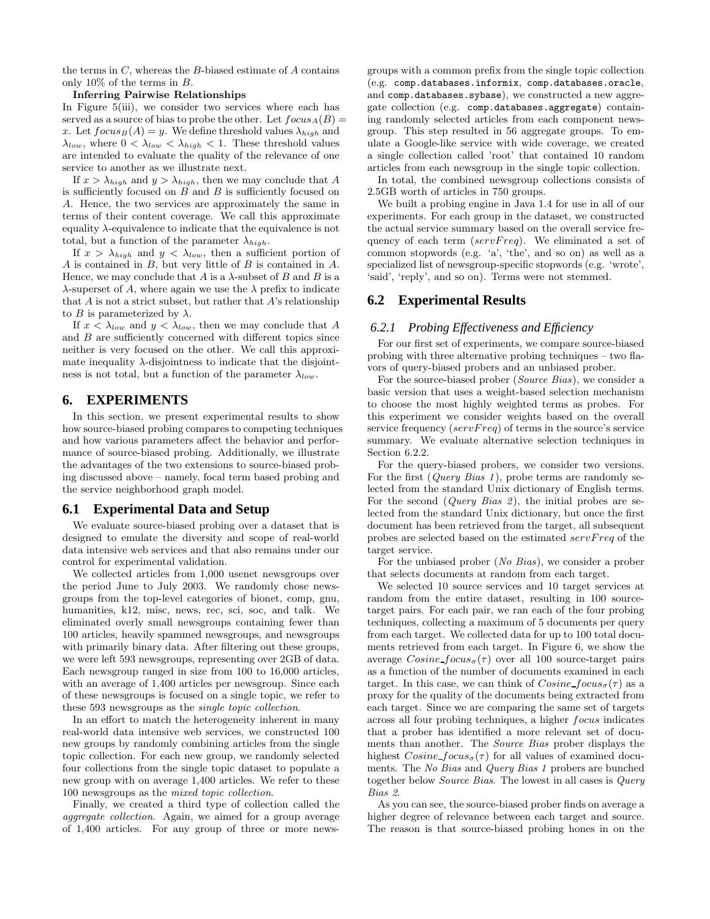the terms in  $C$ , whereas the  $B$ -biased estimate of  $A$  contains only 10% of the terms in B.

#### **Inferring Pairwise Relationships**

In Figure 5(iii), we consider two services where each has served as a source of bias to probe the other. Let  $focus_A(B) =$ x. Let  $focus_B (A) = y$ . We define threshold values  $\lambda_{high}$  and  $\lambda_{low}$ , where  $0 < \lambda_{low} < \lambda_{high} < 1$ . These threshold values are intended to evaluate the quality of the relevance of one service to another as we illustrate next.

If  $x > \lambda_{high}$  and  $y > \lambda_{high}$ , then we may conclude that A is sufficiently focused on  $B$  and  $B$  is sufficiently focused on A. Hence, the two services are approximately the same in terms of their content coverage. We call this approximate equality  $\lambda$ -equivalence to indicate that the equivalence is not total, but a function of the parameter  $\lambda_{high}$ .

If  $x > \lambda_{high}$  and  $y < \lambda_{low}$ , then a sufficient portion of A is contained in B, but very little of B is contained in A. Hence, we may conclude that A is a  $\lambda$ -subset of B and B is a  $\lambda$ -superset of A, where again we use the  $\lambda$  prefix to indicate that  $A$  is not a strict subset, but rather that  $A$ 's relationship to *B* is parameterized by  $\lambda$ .

If  $x < \lambda_{low}$  and  $y < \lambda_{low}$ , then we may conclude that A and B are sufficiently concerned with different topics since neither is very focused on the other. We call this approximate inequality  $\lambda$ -disjointness to indicate that the disjointness is not total, but a function of the parameter  $\lambda_{low}$ .

## **6. EXPERIMENTS**

In this section, we present experimental results to show how source-biased probing compares to competing techniques and how various parameters affect the behavior and performance of source-biased probing. Additionally, we illustrate the advantages of the two extensions to source-biased probing discussed above – namely, focal term based probing and the service neighborhood graph model.

### **6.1 Experimental Data and Setup**

We evaluate source-biased probing over a dataset that is designed to emulate the diversity and scope of real-world data intensive web services and that also remains under our control for experimental validation.

We collected articles from 1,000 usenet newsgroups over the period June to July 2003. We randomly chose newsgroups from the top-level categories of bionet, comp, gnu, humanities, k12, misc, news, rec, sci, soc, and talk. We eliminated overly small newsgroups containing fewer than 100 articles, heavily spammed newsgroups, and newsgroups with primarily binary data. After filtering out these groups, we were left 593 newsgroups, representing over 2GB of data. Each newsgroup ranged in size from 100 to 16,000 articles, with an average of 1,400 articles per newsgroup. Since each of these newsgroups is focused on a single topic, we refer to these 593 newsgroups as the single topic collection.

In an effort to match the heterogeneity inherent in many real-world data intensive web services, we constructed 100 new groups by randomly combining articles from the single topic collection. For each new group, we randomly selected four collections from the single topic dataset to populate a new group with on average 1,400 articles. We refer to these 100 newsgroups as the mixed topic collection.

Finally, we created a third type of collection called the aggregate collection. Again, we aimed for a group average of 1,400 articles. For any group of three or more newsgroups with a common prefix from the single topic collection (e.g. comp.databases.informix, comp.databases.oracle, and comp.databases.sybase), we constructed a new aggregate collection (e.g. comp.databases.aggregate) containing randomly selected articles from each component newsgroup. This step resulted in 56 aggregate groups. To emulate a Google-like service with wide coverage, we created a single collection called 'root' that contained 10 random articles from each newsgroup in the single topic collection.

In total, the combined newsgroup collections consists of 2.5GB worth of articles in 750 groups.

We built a probing engine in Java 1.4 for use in all of our experiments. For each group in the dataset, we constructed the actual service summary based on the overall service frequency of each term  $(servFreq)$ . We eliminated a set of common stopwords (e.g. 'a', 'the', and so on) as well as a specialized list of newsgroup-specific stopwords (e.g. 'wrote', 'said', 'reply', and so on). Terms were not stemmed.

## **6.2 Experimental Results**

#### *6.2.1 Probing Effectiveness and Efficiency*

For our first set of experiments, we compare source-biased probing with three alternative probing techniques – two flavors of query-biased probers and an unbiased prober.

For the source-biased prober (Source Bias), we consider a basic version that uses a weight-based selection mechanism to choose the most highly weighted terms as probes. For this experiment we consider weights based on the overall service frequency ( $servFreq$ ) of terms in the source's service summary. We evaluate alternative selection techniques in Section 6.2.2.

For the query-biased probers, we consider two versions. For the first (*Query Bias 1*), probe terms are randomly selected from the standard Unix dictionary of English terms. For the second  $(Query Bias 2)$ , the initial probes are selected from the standard Unix dictionary, but once the first document has been retrieved from the target, all subsequent probes are selected based on the estimated servFreq of the target service.

For the unbiased prober (No Bias), we consider a prober that selects documents at random from each target.

We selected 10 source services and 10 target services at random from the entire dataset, resulting in 100 sourcetarget pairs. For each pair, we ran each of the four probing techniques, collecting a maximum of 5 documents per query from each target. We collected data for up to 100 total documents retrieved from each target. In Figure 6, we show the average  $Cosine\_focus_{\sigma}(\tau)$  over all 100 source-target pairs as a function of the number of documents examined in each target. In this case, we can think of  $Cosine \cdot focus_{\sigma}(\tau)$  as a proxy for the quality of the documents being extracted from each target. Since we are comparing the same set of targets across all four probing techniques, a higher focus indicates that a prober has identified a more relevant set of documents than another. The Source Bias prober displays the highest  $Cosine\_focus_{\sigma}(\tau)$  for all values of examined documents. The No Bias and Query Bias 1 probers are bunched together below Source Bias. The lowest in all cases is Query Bias 2.

As you can see, the source-biased prober finds on average a higher degree of relevance between each target and source. The reason is that source-biased probing hones in on the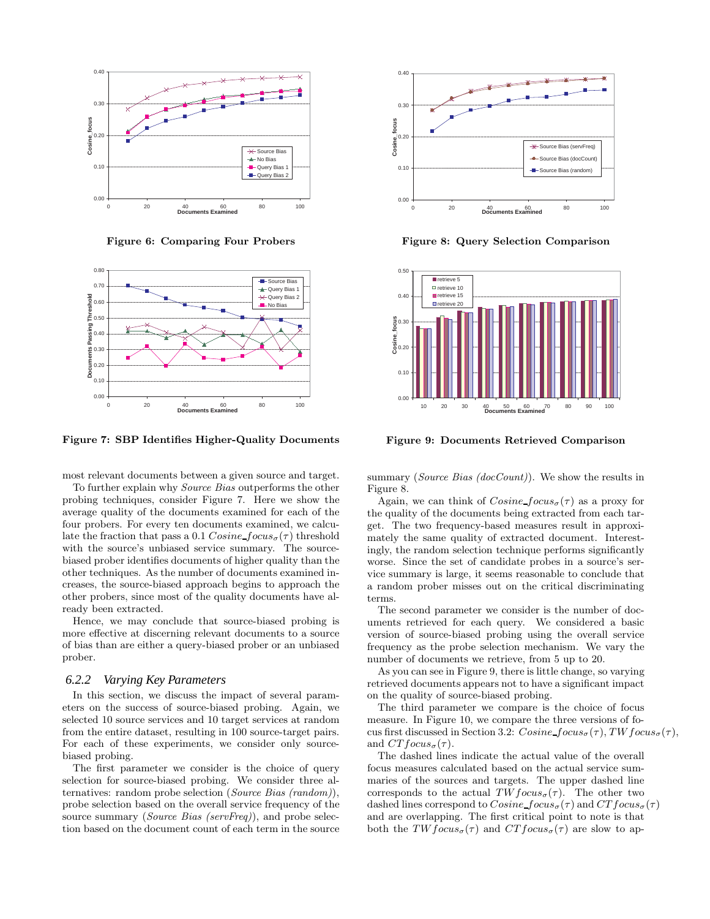

**Figure 6: Comparing Four Probers**



**Figure 7: SBP Identifies Higher-Quality Documents**

most relevant documents between a given source and target.

To further explain why Source Bias outperforms the other probing techniques, consider Figure 7. Here we show the average quality of the documents examined for each of the four probers. For every ten documents examined, we calculate the fraction that pass a 0.1  $Cosine\_focus_{\sigma}(\tau)$  threshold with the source's unbiased service summary. The sourcebiased prober identifies documents of higher quality than the other techniques. As the number of documents examined increases, the source-biased approach begins to approach the other probers, since most of the quality documents have already been extracted.

Hence, we may conclude that source-biased probing is more effective at discerning relevant documents to a source of bias than are either a query-biased prober or an unbiased prober.

## *6.2.2 Varying Key Parameters*

In this section, we discuss the impact of several parameters on the success of source-biased probing. Again, we selected 10 source services and 10 target services at random from the entire dataset, resulting in 100 source-target pairs. For each of these experiments, we consider only sourcebiased probing.

The first parameter we consider is the choice of query selection for source-biased probing. We consider three alternatives: random probe selection (Source Bias (random)), probe selection based on the overall service frequency of the source summary (Source Bias (servFreq)), and probe selection based on the document count of each term in the source



**Figure 8: Query Selection Comparison**



**Figure 9: Documents Retrieved Comparison**

summary (Source Bias ( $docCount$ )). We show the results in Figure 8.

Again, we can think of  $Cosine\_focus_{\sigma}(\tau)$  as a proxy for the quality of the documents being extracted from each target. The two frequency-based measures result in approximately the same quality of extracted document. Interestingly, the random selection technique performs significantly worse. Since the set of candidate probes in a source's service summary is large, it seems reasonable to conclude that a random prober misses out on the critical discriminating terms.

The second parameter we consider is the number of documents retrieved for each query. We considered a basic version of source-biased probing using the overall service frequency as the probe selection mechanism. We vary the number of documents we retrieve, from 5 up to 20.

As you can see in Figure 9, there is little change, so varying retrieved documents appears not to have a significant impact on the quality of source-biased probing.

The third parameter we compare is the choice of focus measure. In Figure 10, we compare the three versions of focus first discussed in Section 3.2:  $Cosine\_focus_{\sigma}(\tau)$ , TW focus $_{\sigma}(\tau)$ , and  $CTfocus_{\sigma}(\tau)$ .

The dashed lines indicate the actual value of the overall focus measures calculated based on the actual service summaries of the sources and targets. The upper dashed line corresponds to the actual  $TWfocus_{\sigma}(\tau)$ . The other two dashed lines correspond to  $Cosine\_focus_{\sigma}(\tau)$  and  $CTfocus_{\sigma}(\tau)$ and are overlapping. The first critical point to note is that both the  $TWfocus_{\sigma}(\tau)$  and  $CTfocus_{\sigma}(\tau)$  are slow to ap-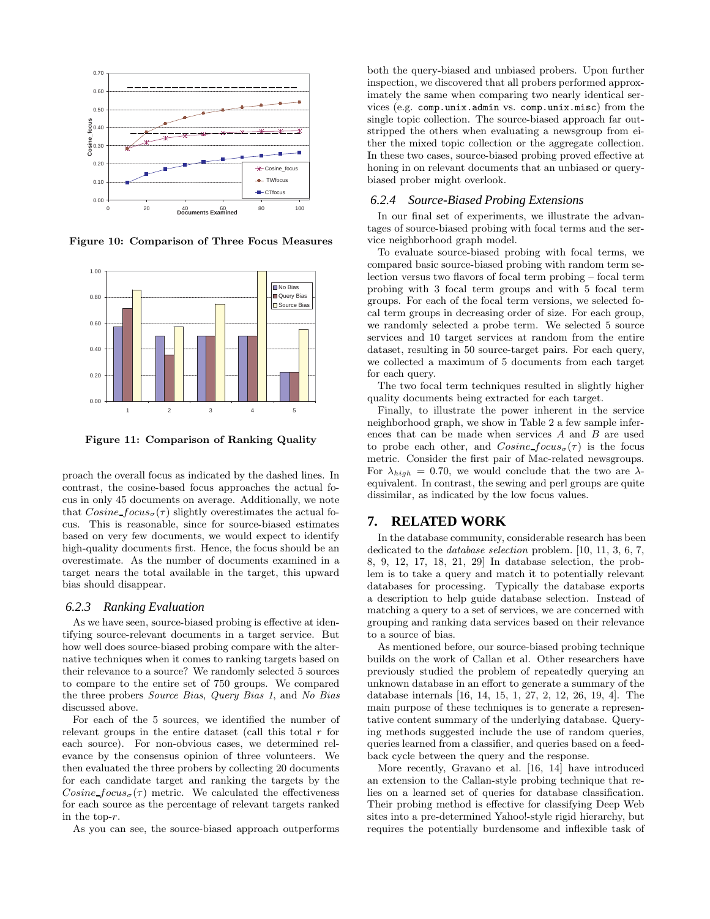

**Figure 10: Comparison of Three Focus Measures**



**Figure 11: Comparison of Ranking Quality**

proach the overall focus as indicated by the dashed lines. In contrast, the cosine-based focus approaches the actual focus in only 45 documents on average. Additionally, we note that  $Cosine\_focus_{\sigma}(\tau)$  slightly overestimates the actual focus. This is reasonable, since for source-biased estimates based on very few documents, we would expect to identify high-quality documents first. Hence, the focus should be an overestimate. As the number of documents examined in a target nears the total available in the target, this upward bias should disappear.

#### *6.2.3 Ranking Evaluation*

As we have seen, source-biased probing is effective at identifying source-relevant documents in a target service. But how well does source-biased probing compare with the alternative techniques when it comes to ranking targets based on their relevance to a source? We randomly selected 5 sources to compare to the entire set of 750 groups. We compared the three probers Source Bias, Query Bias 1, and No Bias discussed above.

For each of the 5 sources, we identified the number of relevant groups in the entire dataset (call this total  $r$  for each source). For non-obvious cases, we determined relevance by the consensus opinion of three volunteers. We then evaluated the three probers by collecting 20 documents for each candidate target and ranking the targets by the Cosine  $focus_{\sigma}(\tau)$  metric. We calculated the effectiveness for each source as the percentage of relevant targets ranked in the top-r.

As you can see, the source-biased approach outperforms

both the query-biased and unbiased probers. Upon further inspection, we discovered that all probers performed approximately the same when comparing two nearly identical services (e.g. comp.unix.admin vs. comp.unix.misc) from the single topic collection. The source-biased approach far outstripped the others when evaluating a newsgroup from either the mixed topic collection or the aggregate collection. In these two cases, source-biased probing proved effective at honing in on relevant documents that an unbiased or querybiased prober might overlook.

#### *6.2.4 Source-Biased Probing Extensions*

In our final set of experiments, we illustrate the advantages of source-biased probing with focal terms and the service neighborhood graph model.

To evaluate source-biased probing with focal terms, we compared basic source-biased probing with random term selection versus two flavors of focal term probing – focal term probing with 3 focal term groups and with 5 focal term groups. For each of the focal term versions, we selected focal term groups in decreasing order of size. For each group, we randomly selected a probe term. We selected 5 source services and 10 target services at random from the entire dataset, resulting in 50 source-target pairs. For each query, we collected a maximum of 5 documents from each target for each query.

The two focal term techniques resulted in slightly higher quality documents being extracted for each target.

Finally, to illustrate the power inherent in the service neighborhood graph, we show in Table 2 a few sample inferences that can be made when services A and B are used to probe each other, and  $Cosine \, focus_{\sigma}(\tau)$  is the focus metric. Consider the first pair of Mac-related newsgroups. For  $\lambda_{high} = 0.70$ , we would conclude that the two are  $\lambda$ equivalent. In contrast, the sewing and perl groups are quite dissimilar, as indicated by the low focus values.

## **7. RELATED WORK**

In the database community, considerable research has been dedicated to the *database selection* problem. [10, 11, 3, 6, 7, 8, 9, 12, 17, 18, 21, 29] In database selection, the problem is to take a query and match it to potentially relevant databases for processing. Typically the database exports a description to help guide database selection. Instead of matching a query to a set of services, we are concerned with grouping and ranking data services based on their relevance to a source of bias.

As mentioned before, our source-biased probing technique builds on the work of Callan et al. Other researchers have previously studied the problem of repeatedly querying an unknown database in an effort to generate a summary of the database internals [16, 14, 15, 1, 27, 2, 12, 26, 19, 4]. The main purpose of these techniques is to generate a representative content summary of the underlying database. Querying methods suggested include the use of random queries, queries learned from a classifier, and queries based on a feedback cycle between the query and the response.

More recently, Gravano et al. [16, 14] have introduced an extension to the Callan-style probing technique that relies on a learned set of queries for database classification. Their probing method is effective for classifying Deep Web sites into a pre-determined Yahoo!-style rigid hierarchy, but requires the potentially burdensome and inflexible task of